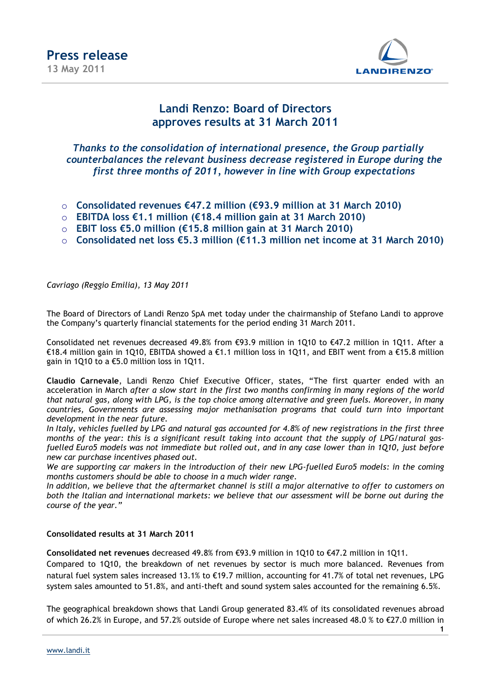

### **Landi Renzo: Board of Directors approves results at 31 March 2011**

*Thanks to the consolidation of international presence, the Group partially counterbalances the relevant business decrease registered in Europe during the first three months of 2011, however in line with Group expectations*

- o **Consolidated revenues €47.2 million (€93.9 million at 31 March 2010)**
- o **EBITDA loss €1.1 million (€18.4 million gain at 31 March 2010)**
- o **EBIT loss €5.0 million (€15.8 million gain at 31 March 2010)**
- o **Consolidated net loss €5.3 million (€11.3 million net income at 31 March 2010)**

*Cavriago (Reggio Emilia), 13 May 2011*

The Board of Directors of Landi Renzo SpA met today under the chairmanship of Stefano Landi to approve the Company's quarterly financial statements for the period ending 31 March 2011.

Consolidated net revenues decreased 49.8% from €93.9 million in 1Q10 to €47.2 million in 1Q11. After a €18.4 million gain in 1Q10, EBITDA showed a €1.1 million loss in 1Q11, and EBIT went from a €15.8 million gain in 1Q10 to a €5.0 million loss in 1Q11.

**Claudio Carnevale**, Landi Renzo Chief Executive Officer, states, "The first quarter ended with an acceleration in March *after a slow start in the first two months confirming in many regions of the world that natural gas, along with LPG, is the top choice among alternative and green fuels. Moreover, in many countries, Governments are assessing major methanisation programs that could turn into important development in the near future.*

*In Italy, vehicles fuelled by LPG and natural gas accounted for 4.8% of new registrations in the first three months of the year: this is a significant result taking into account that the supply of LPG/natural gasfuelled Euro5 models was not immediate but rolled out, and in any case lower than in 1Q10, just before new car purchase incentives phased out.*

*We are supporting car makers in the introduction of their new LPG-fuelled Euro5 models: in the coming months customers should be able to choose in a much wider range.* 

*In addition, we believe that the aftermarket channel is still a major alternative to offer to customers on both the Italian and international markets: we believe that our assessment will be borne out during the course of the year."*

#### **Consolidated results at 31 March 2011**

**Consolidated net revenues** decreased 49.8% from €93.9 million in 1Q10 to €47.2 million in 1Q11.

Compared to 1Q10, the breakdown of net revenues by sector is much more balanced. Revenues from natural fuel system sales increased 13.1% to €19.7 million, accounting for 41.7% of total net revenues, LPG system sales amounted to 51.8%, and anti-theft and sound system sales accounted for the remaining 6.5%.

The geographical breakdown shows that Landi Group generated 83.4% of its consolidated revenues abroad of which 26.2% in Europe, and 57.2% outside of Europe where net sales increased 48.0 % to €27.0 million in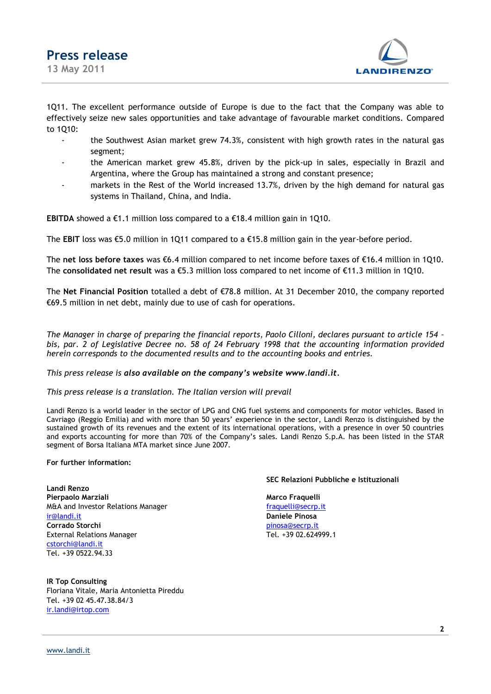

1Q11. The excellent performance outside of Europe is due to the fact that the Company was able to effectively seize new sales opportunities and take advantage of favourable market conditions. Compared to 1Q10:

- the Southwest Asian market grew 74.3%, consistent with high growth rates in the natural gas segment;
- the American market grew 45.8%, driven by the pick-up in sales, especially in Brazil and Argentina, where the Group has maintained a strong and constant presence;
- markets in the Rest of the World increased 13.7%, driven by the high demand for natural gas systems in Thailand, China, and India.

**EBITDA** showed a  $\epsilon$ 1.1 million loss compared to a  $\epsilon$ 18.4 million gain in 1Q10.

The **EBIT** loss was  $\epsilon$ 5.0 million in 1Q11 compared to a  $\epsilon$ 15.8 million gain in the year-before period.

The **net loss before taxes** was €6.4 million compared to net income before taxes of €16.4 million in 1Q10. The **consolidated net result** was a €5.3 million loss compared to net income of €11.3 million in 1Q10.

The **Net Financial Position** totalled a debt of €78.8 million. At 31 December 2010, the company reported €69.5 million in net debt, mainly due to use of cash for operations.

*The Manager in charge of preparing the financial reports, Paolo Cilloni, declares pursuant to article 154 – bis, par. 2 of Legislative Decree no. 58 of 24 February 1998 that the accounting information provided herein corresponds to the documented results and to the accounting books and entries.*

#### *This press release is also available on the company's website [www.landi.it.](http://www.landi.it/)*

#### *This press release is a translation. The Italian version will prevail*

Landi Renzo is a world leader in the sector of LPG and CNG fuel systems and components for motor vehicles. Based in Cavriago (Reggio Emilia) and with more than 50 years' experience in the sector, Landi Renzo is distinguished by the sustained growth of its revenues and the extent of its international operations, with a presence in over 50 countries and exports accounting for more than 70% of the Company's sales. Landi Renzo S.p.A. has been listed in the STAR segment of Borsa Italiana MTA market since June 2007.

#### **For further information:**

**Landi Renzo Pierpaolo Marziali Marco Fraquelli** M&A and Investor Relations Manager fraguelli@secrp.it [ir@landi.it](mailto:ir@landi.it) **Daniele Pinosa Corrado Storchi** [pinosa@secrp.it](mailto:pinosa@secrp.it) External Relations Manager Tel. +39 02.624999.1 [cstorchi@landi.it](mailto:cstorchi@landi.it) Tel. +39 0522.94.33

#### **IR Top Consulting** Floriana Vitale, Maria Antonietta Pireddu Tel. +39 02 45.47.38.84/3 [ir.landi@irtop.com](mailto:ir.landi@irtop.com)

#### **SEC Relazioni Pubbliche e Istituzionali**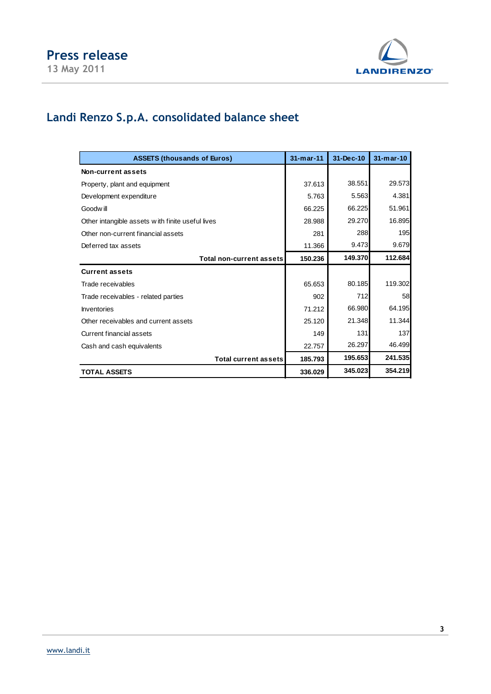

# **Landi Renzo S.p.A. consolidated balance sheet**

| <b>ASSETS (thousands of Euros)</b>               | $31 - m$ ar $-11$ | 31-Dec-10 | $31-mar-10$ |
|--------------------------------------------------|-------------------|-----------|-------------|
| Non-current assets                               |                   |           |             |
| Property, plant and equipment                    | 37.613            | 38.551    | 29.573      |
| Development expenditure                          | 5.763             | 5.563     | 4.381       |
| Goodw ill                                        | 66.225            | 66.225    | 51.961      |
| Other intangible assets with finite useful lives | 28.988            | 29.270    | 16.895      |
| Other non-current financial assets               | 281               | 288       | 195         |
| Deferred tax assets                              | 11.366            | 9.473     | 9.679       |
| <b>Total non-current assets</b>                  | 150.236           | 149.370   | 112.684     |
| <b>Current assets</b>                            |                   |           |             |
| Trade receivables                                | 65.653            | 80.185    | 119.302     |
| Trade receivables - related parties              | 902               | 712       | 58          |
| <b>Inventories</b>                               | 71.212            | 66.980    | 64.195      |
| Other receivables and current assets             | 25.120            | 21.348    | 11.344      |
| Current financial assets                         | 149               | 131       | 137         |
| Cash and cash equivalents                        | 22.757            | 26.297    | 46.499      |
| <b>Total current assets</b>                      | 185.793           | 195.653   | 241.535     |
| <b>TOTAL ASSETS</b>                              | 336.029           | 345.023   | 354.219     |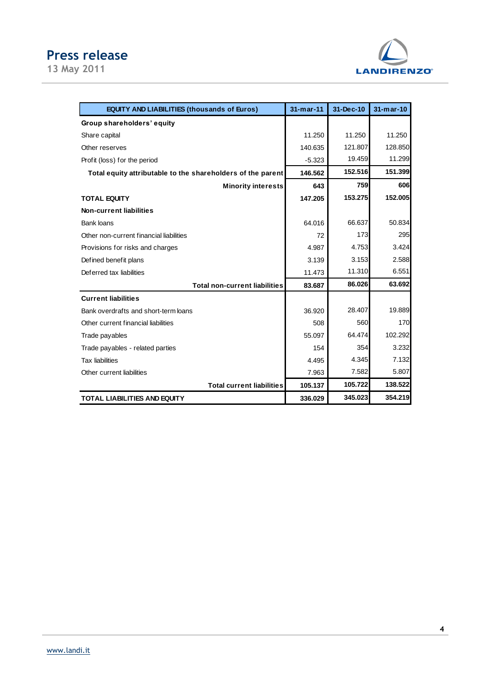## **Press release**

**13 May 2011**



| <b>EQUITY AND LIABILITIES (thousands of Euros)</b>          | $31-mar-11$ | 31-Dec-10 | $31-mar-10$ |
|-------------------------------------------------------------|-------------|-----------|-------------|
| Group shareholders' equity                                  |             |           |             |
| Share capital                                               | 11.250      | 11.250    | 11.250      |
| Other reserves                                              | 140.635     | 121.807   | 128.850     |
| Profit (loss) for the period                                | $-5.323$    | 19.459    | 11.299      |
| Total equity attributable to the shareholders of the parent | 146.562     | 152.516   | 151.399     |
| <b>Minority interests</b>                                   | 643         | 759       | 606         |
| <b>TOTAL EQUITY</b>                                         | 147.205     | 153.275   | 152.005     |
| <b>Non-current liabilities</b>                              |             |           |             |
| Bank loans                                                  | 64.016      | 66.637    | 50.834      |
| Other non-current financial liabilities                     | 72          | 173       | 295         |
| Provisions for risks and charges                            | 4.987       | 4.753     | 3.424       |
| Defined benefit plans                                       | 3.139       | 3.153     | 2.588       |
| Deferred tax liabilities                                    | 11.473      | 11.310    | 6.551       |
| <b>Total non-current liabilities</b>                        | 83.687      | 86.026    | 63.692      |
| <b>Current liabilities</b>                                  |             |           |             |
| Bank overdrafts and short-term loans                        | 36.920      | 28.407    | 19.889      |
| Other current financial liabilities                         | 508         | 560       | 170         |
| Trade payables                                              | 55.097      | 64.474    | 102.292     |
| Trade payables - related parties                            | 154         | 354       | 3.232       |
| <b>Tax liabilities</b>                                      | 4.495       | 4.345     | 7.132       |
| Other current liabilities                                   | 7.963       | 7.582     | 5.807       |
| <b>Total current liabilities</b>                            | 105.137     | 105.722   | 138.522     |
| <b>TOTAL LIABILITIES AND EQUITY</b>                         | 336.029     | 345.023   | 354.219     |